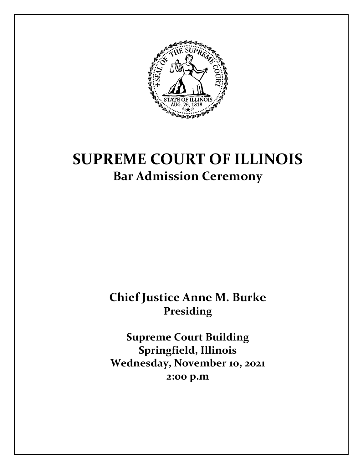

# **SUPREME COURT OF ILLINOIS Bar Admission Ceremony**

**Chief Justice Anne M. Burke Presiding**

**Supreme Court Building Springfield, Illinois Wednesday, November 10, 2021 2:00 p.m**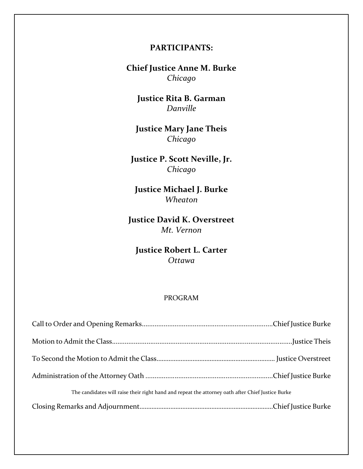# **PARTICIPANTS:**

**Chief Justice Anne M. Burke** *Chicago*

**Justice Rita B. Garman** *Danville*

**Justice Mary Jane Theis** *Chicago*

**Justice P. Scott Neville, Jr.** *Chicago*

**Justice Michael J. Burke** *Wheaton*

**Justice David K. Overstreet** *Mt. Vernon*

**Justice Robert L. Carter** *Ottawa*

#### PROGRAM

| The candidates will raise their right hand and repeat the attorney oath after Chief Justice Burke |  |
|---------------------------------------------------------------------------------------------------|--|
|                                                                                                   |  |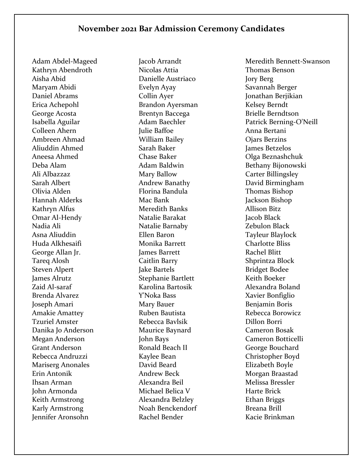Adam Abdel-Mageed Kathryn Abendroth Aisha Abid Maryam Abidi Daniel Abrams Erica Achepohl George Acosta Isabella Aguilar Colleen Ahern Ambreen Ahmad Aliuddin Ahmed Aneesa Ahmed Deba Alam Ali Albazzaz Sarah Albert Olivia Alden Hannah Alderks Kathryn Alfus Omar Al-Hendy Nadia Ali Asna Aliuddin Huda Alkhesaifi George Allan Jr. Tareq Alosh Steven Alpert James Alrutz Zaid Al-saraf Brenda Alvarez Joseph Amari Amakie Amattey Tzuriel Amster Danika Jo Anderson Megan Anderson Grant Anderson Rebecca Andruzzi Mariserg Anonales Erin Antonik Ihsan Arman John Armonda Keith Armstrong Karly Armstrong Jennifer Aronsohn

Jacob Arrandt Nicolas Attia Danielle Austriaco Evelyn Ayay Collin Ayer Brandon Ayersman Brentyn Baccega Adam Baechler Julie Baffoe William Bailey Sarah Baker Chase Baker Adam Baldwin Mary Ballow Andrew Banathy Florina Bandula Mac Bank Meredith Banks Natalie Barakat Natalie Barnaby Ellen Baron Monika Barrett James Barrett Caitlin Barry Jake Bartels Stephanie Bartlett Karolina Bartosik Y'Noka Bass Mary Bauer Ruben Bautista Rebecca Bavlsik Maurice Baynard John Bays Ronald Beach II Kaylee Bean David Beard Andrew Beck Alexandra Beil Michael Belica V Alexandra Belzley Noah Benckendorf Rachel Bender

Meredith Bennett-Swanson Thomas Benson Jory Berg Savannah Berger Jonathan Berjikian Kelsey Berndt Brielle Berndtson Patrick Berning-O'Neill Anna Bertani Ojars Berzins James Betzelos Olga Beznashchuk Bethany Bijonowski Carter Billingsley David Birmingham Thomas Bishop Jackson Bishop Allison Bitz Jacob Black Zebulon Black Tayleur Blaylock Charlotte Bliss Rachel Blitt Shprintza Block Bridget Bodee Keith Boeker Alexandra Boland Xavier Bonfiglio Benjamin Boris Rebecca Borowicz Dillon Borri Cameron Bosak Cameron Botticelli George Bouchard Christopher Boyd Elizabeth Boyle Morgan Braastad Melissa Bressler Harte Brick Ethan Briggs Breana Brill Kacie Brinkman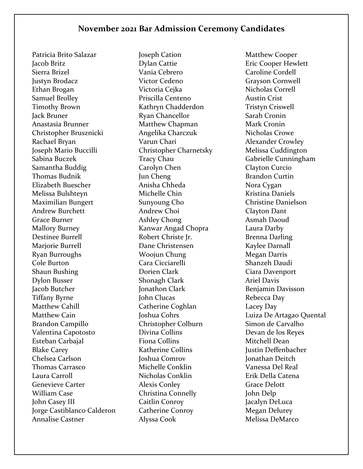Patricia Brito Salazar Jacob Britz Sierra Brizel Justyn Brodacz Ethan Brogan Samuel Brolley Timothy Brown Jack Bruner Anastasia Brunner Christopher Brusznicki Rachael Bryan Joseph Mario Buccilli Sabina Buczek Samantha Buddig Thomas Budnik Elizabeth Buescher Melissa Bulshteyn Maximilian Bungert Andrew Burchett Grace Burner Mallory Burney Destinee Burrell Marjorie Burrell Ryan Burroughs Cole Burton Shaun Bushing Dylon Busser Jacob Butcher Tiffany Byrne Matthew Cahill Matthew Cain Brandon Campillo Valentina Capotosto Esteban Carbajal Blake Carey Chelsea Carlson Thomas Carrasco Laura Carroll Genevieve Carter William Case John Casey III Jorge Castiblanco Calderon Annalise Castner

Joseph Cation Dylan Cattie Vania Cebrero Victor Cedeno Victoria Cejka Priscilla Centeno Kathryn Chadderdon Ryan Chancellor Matthew Chapman Angelika Charczuk Varun Chari Christopher Charnetsky Tracy Chau Carolyn Chen Jun Cheng Anisha Chheda Michelle Chin Sunyoung Cho Andrew Choi Ashley Chong Kanwar Angad Chopra Robert Christe Jr. Dane Christensen Woojun Chung Cara Cicciarelli Dorien Clark Shonagh Clark Jonathon Clark John Clucas Catherine Coghlan Joshua Cohrs Christopher Colburn Divina Collins Fiona Collins Katherine Collins Joshua Comrov Michelle Conklin Nicholas Conklin Alexis Conley Christina Connelly Caitlin Conroy Catherine Conroy Alyssa Cook

Matthew Cooper Eric Cooper Hewlett Caroline Cordell Grayson Cornwell Nicholas Correll Austin Crist Tristyn Criswell Sarah Cronin Mark Cronin Nicholas Crowe Alexander Crowley Melissa Cuddington Gabrielle Cunningham Clayton Curcio Brandon Curtin Nora Cygan Kristina Daniels Christine Danielson Clayton Dant Asmah Daoud Laura Darby Brenna Darling Kaylee Darnall Megan Darris Shanzeh Daudi Ciara Davenport Ariel Davis Benjamin Davisson Rebecca Day Lacey Day Luiza De Artagao Quental Simon de Carvalho Devan de los Reyes Mitchell Dean Justin Deffenbacher Jonathan Deitch Vanessa Del Real Erik Della Catena Grace Delott John Delp Jacalyn DeLuca Megan Delurey Melissa DeMarco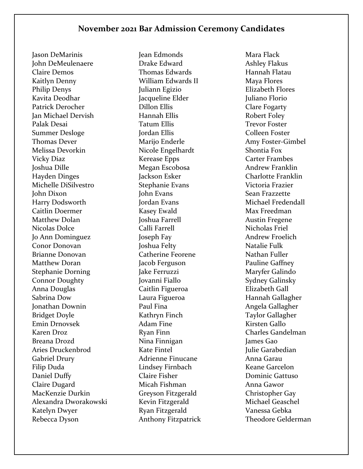Jason DeMarinis John DeMeulenaere Claire Demos Kaitlyn Denny Philip Denys Kavita Deodhar Patrick Derocher Jan Michael Dervish Palak Desai Summer Desloge Thomas Dever Melissa Devorkin Vicky Diaz Joshua Dille Hayden Dinges Michelle DiSilvestro John Dixon Harry Dodsworth Caitlin Doermer Matthew Dolan Nicolas Dolce Jo Ann Dominguez Conor Donovan Brianne Donovan Matthew Doran Stephanie Dorning Connor Doughty Anna Douglas Sabrina Dow Jonathan Downin Bridget Doyle Emin Drnovsek Karen Droz Breana Drozd Aries Druckenbrod Gabriel Drury Filip Duda Daniel Duffy Claire Dugard MacKenzie Durkin Alexandra Dworakowski Katelyn Dwyer Rebecca Dyson

Jean Edmonds Drake Edward Thomas Edwards William Edwards II Juliann Egizio Jacqueline Elder Dillon Ellis Hannah Ellis Tatum Ellis Jordan Ellis Marijo Enderle Nicole Engelhardt Kerease Epps Megan Escobosa Jackson Esker Stephanie Evans John Evans Jordan Evans Kasey Ewald Joshua Farrell Calli Farrell Joseph Fay Joshua Felty Catherine Feorene Jacob Ferguson Jake Ferruzzi Jovanni Fiallo Caitlin Figueroa Laura Figueroa Paul Fina Kathryn Finch Adam Fine Ryan Finn Nina Finnigan Kate Fintel Adrienne Finucane Lindsey Firnbach Claire Fisher Micah Fishman Greyson Fitzgerald Kevin Fitzgerald Ryan Fitzgerald Anthony Fitzpatrick

Mara Flack Ashley Flakus Hannah Flatau Maya Flores Elizabeth Flores Juliano Florio Clare Fogarty Robert Foley Trevor Foster Colleen Foster Amy Foster-Gimbel Shontia Fox Carter Frambes Andrew Franklin Charlotte Franklin Victoria Frazier Sean Frazzette Michael Fredendall Max Freedman Austin Fregene Nicholas Friel Andrew Froelich Natalie Fulk Nathan Fuller Pauline Gaffney Maryfer Galindo Sydney Galinsky Elizabeth Gall Hannah Gallagher Angela Gallagher Taylor Gallagher Kirsten Gallo Charles Gandelman James Gao Julie Garabedian Anna Garau Keane Garcelon Dominic Gattuso Anna Gawor Christopher Gay Michael Geaschel Vanessa Gebka Theodore Gelderman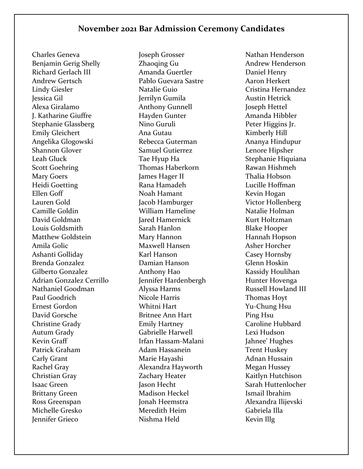Charles Geneva Benjamin Gerig Shelly Richard Gerlach III Andrew Gertsch Lindy Giesler Jessica Gil Alexa Giralamo J. Katharine Giuffre Stephanie Glassberg Emily Gleichert Angelika Glogowski Shannon Glover Leah Gluck Scott Goehring Mary Goers Heidi Goetting Ellen Goff Lauren Gold Camille Goldin David Goldman Louis Goldsmith Matthew Goldstein Amila Golic Ashanti Golliday Brenda Gonzalez Gilberto Gonzalez Adrian Gonzalez Cerrillo Nathaniel Goodman Paul Goodrich Ernest Gordon David Gorsche Christine Grady Autum Grady Kevin Graff Patrick Graham Carly Grant Rachel Gray Christian Gray Isaac Green Brittany Green Ross Greenspan Michelle Gresko Jennifer Grieco

Joseph Grosser Zhaoqing Gu Amanda Guertler Pablo Guevara Sastre Natalie Guio Jerrilyn Gumila Anthony Gunnell Hayden Gunter Nino Guruli Ana Gutau Rebecca Guterman Samuel Gutierrez Tae Hyup Ha Thomas Haberkorn James Hager II Rana Hamadeh Noah Hamant Jacob Hamburger William Hameline Jared Hamernick Sarah Hanlon Mary Hannon Maxwell Hansen Karl Hanson Damian Hanson Anthony Hao Jennifer Hardenbergh Alyssa Harms Nicole Harris Whitni Hart Britnee Ann Hart Emily Hartney Gabrielle Harwell Irfan Hassam-Malani Adam Hassanein Marie Hayashi Alexandra Hayworth Zachary Heater Jason Hecht Madison Heckel Jonah Heemstra Meredith Heim Nishma Held

Nathan Henderson Andrew Henderson Daniel Henry Aaron Herkert Cristina Hernandez Austin Hetrick Joseph Hettel Amanda Hibbler Peter Higgins Jr. Kimberly Hill Ananya Hindupur Lenore Hipsher Stephanie Hiquiana Rawan Hishmeh Thalia Hobson Lucille Hoffman Kevin Hogan Victor Hollenberg Natalie Holman Kurt Holtzman Blake Hooper Hannah Hopson Asher Horcher Casey Hornsby Glenn Hoskin Kassidy Houlihan Hunter Hovenga Russell Howland III Thomas Hoyt Yu-Chung Hsu Ping Hsu Caroline Hubbard Lexi Hudson Jahnee' Hughes Trent Huskey Adnan Hussain Megan Hussey Kaitlyn Hutchison Sarah Huttenlocher Ismail Ibrahim Alexandra Ilijevski Gabriela Illa Kevin Illg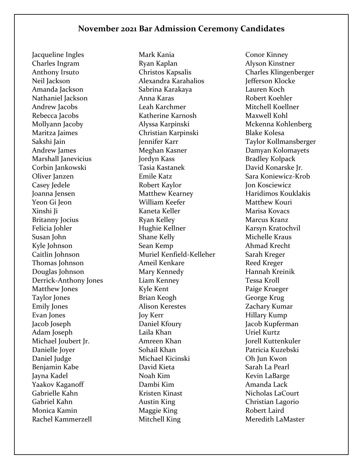Jacqueline Ingles Charles Ingram Anthony Irsuto Neil Jackson Amanda Jackson Nathaniel Jackson Andrew Jacobs Rebecca Jacobs Mollyann Jacoby Maritza Jaimes Sakshi Jain Andrew James Marshall Janevicius Corbin Jankowski Oliver Janzen Casey Jedele Joanna Jensen Yeon Gi Jeon Xinshi Ji Britanny Jocius Felicia Johler Susan John Kyle Johnson Caitlin Johnson Thomas Johnson Douglas Johnson Derrick-Anthony Jones Matthew Jones Taylor Jones Emily Jones Evan Jones Jacob Joseph Adam Joseph Michael Joubert Jr. Danielle Joyer Daniel Judge Benjamin Kabe Jayna Kadel Yaakov Kaganoff Gabrielle Kahn Gabriel Kahn Monica Kamin Rachel Kammerzell

Mark Kania Ryan Kaplan Christos Kapsalis Alexandra Karahalios Sabrina Karakaya Anna Karas Leah Karchmer Katherine Karnosh Alyssa Karpinski Christian Karpinski Jennifer Karr Meghan Kasner Jordyn Kass Tasia Kastanek Emile Katz Robert Kaylor Matthew Kearney William Keefer Kaneta Keller Ryan Kelley Hughie Kellner Shane Kelly Sean Kemp Muriel Kenfield-Kelleher Ameil Kenkare Mary Kennedy Liam Kenney Kyle Kent Brian Keogh Alison Kerestes Joy Kerr Daniel Kfoury Laila Khan Amreen Khan Sohail Khan Michael Kicinski David Kieta Noah Kim Dambi Kim Kristen Kinast Austin King Maggie King Mitchell King

Conor Kinney Alyson Kinstner Charles Klingenberger Jefferson Klocke Lauren Koch Robert Koehler Mitchell Koellner Maxwell Kohl Mckenna Kohlenberg Blake Kolesa Taylor Kollmansberger Damyan Kolomayets Bradley Kolpack David Konarske Jr. Sara Koniewicz-Krob Jon Kosciewicz Haridimos Kouklakis Matthew Kouri Marisa Kovacs Marcus Kranz Karsyn Kratochvil Michelle Kraus Ahmad Krecht Sarah Kreger Reed Kreger Hannah Kreinik Tessa Kroll Paige Krueger George Krug Zachary Kumar Hillary Kump Jacob Kupferman Uriel Kurtz Jorell Kuttenkuler Patricia Kuzebski Oh Jun Kwon Sarah La Pearl Kevin LaBarge Amanda Lack Nicholas LaCourt Christian Lagorio Robert Laird Meredith LaMaster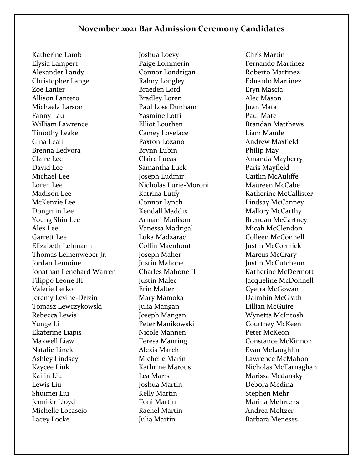Katherine Lamb Elysia Lampert Alexander Landy Christopher Lange Zoe Lanier Allison Lantero Michaela Larson Fanny Lau William Lawrence Timothy Leake Gina Leali Brenna Ledvora Claire Lee David Lee Michael Lee Loren Lee Madison Lee McKenzie Lee Dongmin Lee Young Shin Lee Alex Lee Garrett Lee Elizabeth Lehmann Thomas Leinenweber Jr. Jordan Lemoine Jonathan Lenchard Warren Filippo Leone III Valerie Letko Jeremy Levine-Drizin Tomasz Lewczykowski Rebecca Lewis Yunge Li Ekaterine Liapis Maxwell Liaw Natalie Linck Ashley Lindsey Kaycee Link Kailin Liu Lewis Liu Shuimei Liu Jennifer Lloyd Michelle Locascio Lacey Locke

Joshua Loevy Paige Lommerin Connor Londrigan Rahny Longley Braeden Lord Bradley Loren Paul Loss Dunham Yasmine Lotfi Elliot Louthen Camey Lovelace Paxton Lozano Brynn Lubin Claire Lucas Samantha Luck Joseph Ludmir Nicholas Lurie-Moroni Katrina Lutfy Connor Lynch Kendall Maddix Armani Madison Vanessa Madrigal Luka Madzarac Collin Maenhout Joseph Maher Justin Mahone Charles Mahone II Justin Malec Erin Malter Mary Mamoka Julia Mangan Joseph Mangan Peter Manikowski Nicole Mannen Teresa Manring Alexis March Michelle Marin Kathrine Marous Lea Marrs Joshua Martin Kelly Martin Toni Martin Rachel Martin Julia Martin

Chris Martin Fernando Martinez Roberto Martinez Eduardo Martinez Eryn Mascia Alec Mason Juan Mata Paul Mate Brandan Matthews Liam Maude Andrew Maxfield Philip May Amanda Mayberry Paris Mayfield Caitlin McAuliffe Maureen McCabe Katherine McCallister Lindsay McCanney Mallory McCarthy Brendan McCartney Micah McClendon Colleen McConnell Justin McCormick Marcus McCrary Justin McCutcheon Katherine McDermott Jacqueline McDonnell Cyerra McGowan Daimhin McGrath Lillian McGuire Wynetta McIntosh Courtney McKeen Peter McKeon Constance McKinnon Evan McLaughlin Lawrence McMahon Nicholas McTarnaghan Marissa Medansky Debora Medina Stephen Mehr Marina Mehrtens Andrea Meltzer Barbara Meneses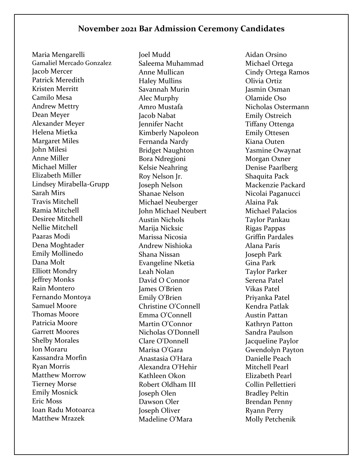Maria Mengarelli Gamaliel Mercado Gonzalez Jacob Mercer Patrick Meredith Kristen Merritt Camilo Mesa Andrew Mettry Dean Meyer Alexander Meyer Helena Mietka Margaret Miles John Milesi Anne Miller Michael Miller Elizabeth Miller Lindsey Mirabella-Grupp Sarah Mirs Travis Mitchell Ramia Mitchell Desiree Mitchell Nellie Mitchell Paaras Modi Dena Moghtader Emily Mollinedo Dana Molt Elliott Mondry Jeffrey Monks Rain Montero Fernando Montoya Samuel Moore Thomas Moore Patricia Moore Garrett Moores Shelby Morales Ion Moraru Kassandra Morfin Ryan Morris Matthew Morrow Tierney Morse Emily Mosnick Eric Moss Ioan Radu Motoarca Matthew Mrazek

Joel Mudd Saleema Muhammad Anne Mullican Haley Mullins Savannah Murin Alec Murphy Amro Mustafa Jacob Nabat Jennifer Nacht Kimberly Napoleon Fernanda Nardy Bridget Naughton Bora Ndregjoni Kelsie Neahring Roy Nelson Jr. Joseph Nelson Shanae Nelson Michael Neuberger John Michael Neubert Austin Nichols Marija Nicksic Marissa Nicosia Andrew Nishioka Shana Nissan Evangeline Nketia Leah Nolan David O Connor James O'Brien Emily O'Brien Christine O'Connell Emma O'Connell Martin O'Connor Nicholas O'Donnell Clare O'Donnell Marisa O'Gara Anastasia O'Hara Alexandra O'Hehir Kathleen Okon Robert Oldham III Joseph Olen Dawson Oler Joseph Oliver Madeline O'Mara

Aidan Orsino Michael Ortega Cindy Ortega Ramos Olivia Ortiz Jasmin Osman Olamide Oso Nicholas Ostermann Emily Ostreich Tiffany Ottenga Emily Ottesen Kiana Outen Yasmine Owaynat Morgan Oxner Denise Paarlberg Shaquita Pack Mackenzie Packard Nicolai Paganucci Alaina Pak Michael Palacios Taylor Pankau Rigas Pappas Griffin Pardales Alana Paris Joseph Park Gina Park Taylor Parker Serena Patel Vikas Patel Priyanka Patel Kendra Patlak Austin Pattan Kathryn Patton Sandra Paulson Jacqueline Paylor Gwendolyn Payton Danielle Peach Mitchell Pearl Elizabeth Pearl Collin Pellettieri Bradley Peltin Brendan Penny Ryann Perry Molly Petchenik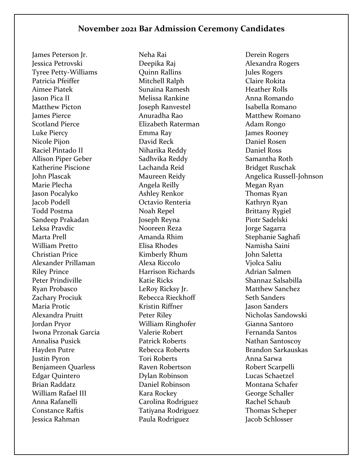James Peterson Jr. Jessica Petrovski Tyree Petty-Williams Patricia Pfeiffer Aimee Piatek Jason Pica II Matthew Picton James Pierce Scotland Pierce Luke Piercy Nicole Pijon Raciel Pintado II Allison Piper Geber Katherine Piscione John Plascak Marie Plecha Jason Pocalyko Jacob Podell Todd Postma Sandeep Prakadan Leksa Pravdic Marta Prell William Pretto Christian Price Alexander Prillaman Riley Prince Peter Prindiville Ryan Probasco Zachary Prociuk Maria Protic Alexandra Pruitt Jordan Pryor Iwona Przonak Garcia Annalisa Pusick Hayden Putre Justin Pyron Benjameen Quarless Edgar Quintero Brian Raddatz William Rafael III Anna Rafanelli Constance Raftis Jessica Rahman

Neha Rai Deepika Raj Quinn Rallins Mitchell Ralph Sunaina Ramesh Melissa Rankine Joseph Ranvestel Anuradha Rao Elizabeth Raterman Emma Ray David Reck Niharika Reddy Sadhvika Reddy Lachanda Reid Maureen Reidy Angela Reilly Ashley Renkor Octavio Renteria Noah Repel Joseph Reyna Nooreen Reza Amanda Rhim Elisa Rhodes Kimberly Rhum Alexa Riccolo Harrison Richards Katie Ricks LeRoy Ricksy Jr. Rebecca Rieckhoff Kristin Riffner Peter Riley William Ringhofer Valerie Robert Patrick Roberts Rebecca Roberts Tori Roberts Raven Robertson Dylan Robinson Daniel Robinson Kara Rockey Carolina Rodriguez Tatiyana Rodriguez Paula Rodriguez

Derein Rogers Alexandra Rogers Jules Rogers Claire Rokita Heather Rolls Anna Romando Isabella Romano Matthew Romano Adam Rongo James Rooney Daniel Rosen Daniel Ross Samantha Roth Bridget Ruschak Angelica Russell-Johnson Megan Ryan Thomas Ryan Kathryn Ryan Brittany Rygiel Piotr Sadelski Jorge Sagarra Stephanie Saghafi Namisha Saini John Saletta Vjolca Saliu Adrian Salmen Shannaz Salsabilla Matthew Sanchez Seth Sanders Jason Sanders Nicholas Sandowski Gianna Santoro Fernanda Santos Nathan Santoscoy Brandon Sarkauskas Anna Sarwa Robert Scarpelli Lucas Schaetzel Montana Schafer George Schaller Rachel Schaub Thomas Scheper Jacob Schlosser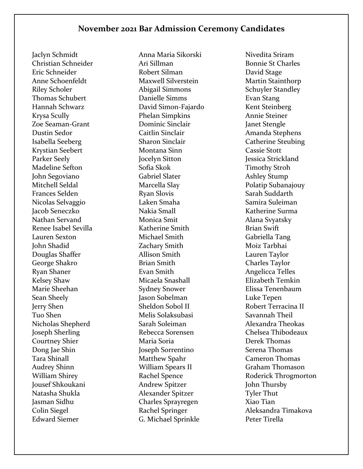Jaclyn Schmidt Christian Schneider Eric Schneider Anne Schoenfeldt Riley Scholer Thomas Schubert Hannah Schwarz Krysa Scully Zoe Seaman-Grant Dustin Sedor Isabella Seeberg Krystian Seebert Parker Seely Madeline Sefton John Segoviano Mitchell Seldal Frances Selden Nicolas Selvaggio Jacob Seneczko Nathan Servand Renee Isabel Sevilla Lauren Sexton John Shadid Douglas Shaffer George Shakro Ryan Shaner Kelsey Shaw Marie Sheehan Sean Sheely Jerry Shen Tuo Shen Nicholas Shepherd Joseph Sherling Courtney Shier Dong Jae Shin Tara Shinall Audrey Shinn William Shirey Jousef Shkoukani Natasha Shukla Jasman Sidhu Colin Siegel Edward Siemer

Anna Maria Sikorski Ari Sillman Robert Silman Maxwell Silverstein Abigail Simmons Danielle Simms David Simon-Fajardo Phelan Simpkins Dominic Sinclair Caitlin Sinclair Sharon Sinclair Montana Sinn Jocelyn Sitton Sofia Skok Gabriel Slater Marcella Slay Ryan Slovis Laken Smaha Nakia Small Monica Smit Katherine Smith Michael Smith Zachary Smith Allison Smith Brian Smith Evan Smith Micaela Snashall Sydney Snower Jason Sobelman Sheldon Sobol II Melis Solaksubasi Sarah Soleiman Rebecca Sorensen Maria Soria Joseph Sorrentino Matthew Spahr William Spears II Rachel Spence Andrew Spitzer Alexander Spitzer Charles Sprayregen Rachel Springer G. Michael Sprinkle

Nivedita Sriram Bonnie St Charles David Stage Martin Stainthorp Schuyler Standley Evan Stang Kent Steinberg Annie Steiner Janet Stengle Amanda Stephens Catherine Steubing Cassie Stott Jessica Strickland Timothy Stroh Ashley Stump Polatip Subanajouy Sarah Suddarth Samira Suleiman Katherine Surma Alana Svyatsky Brian Swift Gabriella Tang Moiz Tarbhai Lauren Taylor Charles Taylor Angelicca Telles Elizabeth Temkin Elissa Tenenbaum Luke Tepen Robert Terracina II Savannah Theil Alexandra Theokas Chelsea Thibodeaux Derek Thomas Serena Thomas Cameron Thomas Graham Thomason Roderick Throgmorton John Thursby Tyler Thut Xiao Tian Aleksandra Timakova Peter Tirella